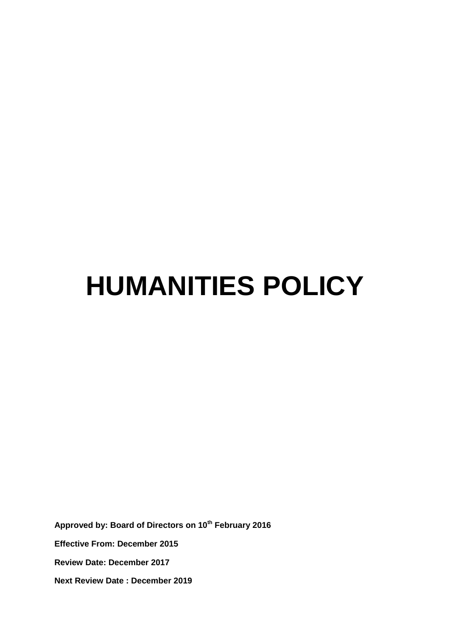# **HUMANITIES POLICY**

**Approved by: Board of Directors on 10th February 2016 Effective From: December 2015 Review Date: December 2017 Next Review Date : December 2019**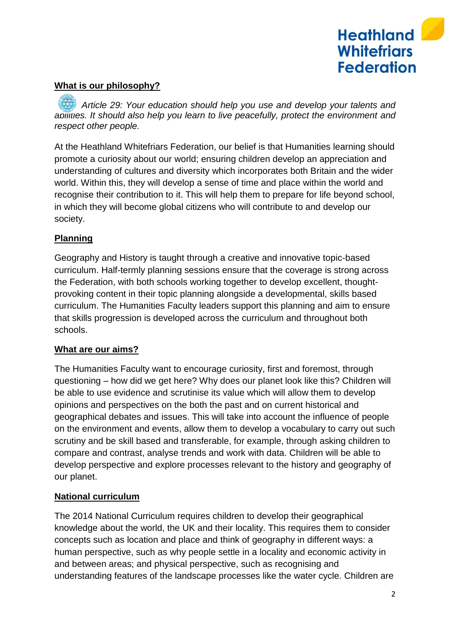

#### **What is our philosophy?**

*Article 29: Your education should help you use and develop your talents and abilities. It should also help you learn to live peacefully, protect the environment and respect other people.* 

At the Heathland Whitefriars Federation, our belief is that Humanities learning should promote a curiosity about our world; ensuring children develop an appreciation and understanding of cultures and diversity which incorporates both Britain and the wider world. Within this, they will develop a sense of time and place within the world and recognise their contribution to it. This will help them to prepare for life beyond school, in which they will become global citizens who will contribute to and develop our society.

#### **Planning**

Geography and History is taught through a creative and innovative topic-based curriculum. Half-termly planning sessions ensure that the coverage is strong across the Federation, with both schools working together to develop excellent, thoughtprovoking content in their topic planning alongside a developmental, skills based curriculum. The Humanities Faculty leaders support this planning and aim to ensure that skills progression is developed across the curriculum and throughout both schools.

#### **What are our aims?**

The Humanities Faculty want to encourage curiosity, first and foremost, through questioning – how did we get here? Why does our planet look like this? Children will be able to use evidence and scrutinise its value which will allow them to develop opinions and perspectives on the both the past and on current historical and geographical debates and issues. This will take into account the influence of people on the environment and events, allow them to develop a vocabulary to carry out such scrutiny and be skill based and transferable, for example, through asking children to compare and contrast, analyse trends and work with data. Children will be able to develop perspective and explore processes relevant to the history and geography of our planet.

#### **National curriculum**

The 2014 National Curriculum requires children to develop their geographical knowledge about the world, the UK and their locality. This requires them to consider concepts such as location and place and think of geography in different ways: a human perspective, such as why people settle in a locality and economic activity in and between areas; and physical perspective, such as recognising and understanding features of the landscape processes like the water cycle. Children are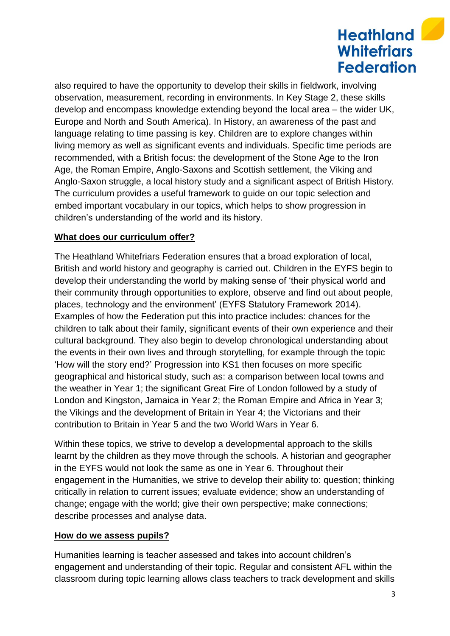# **Heathland Whitefriars Federation**

also required to have the opportunity to develop their skills in fieldwork, involving observation, measurement, recording in environments. In Key Stage 2, these skills develop and encompass knowledge extending beyond the local area – the wider UK, Europe and North and South America). In History, an awareness of the past and language relating to time passing is key. Children are to explore changes within living memory as well as significant events and individuals. Specific time periods are recommended, with a British focus: the development of the Stone Age to the Iron Age, the Roman Empire, Anglo-Saxons and Scottish settlement, the Viking and Anglo-Saxon struggle, a local history study and a significant aspect of British History. The curriculum provides a useful framework to guide on our topic selection and embed important vocabulary in our topics, which helps to show progression in children's understanding of the world and its history.

## **What does our curriculum offer?**

The Heathland Whitefriars Federation ensures that a broad exploration of local, British and world history and geography is carried out. Children in the EYFS begin to develop their understanding the world by making sense of 'their physical world and their community through opportunities to explore, observe and find out about people, places, technology and the environment' (EYFS Statutory Framework 2014). Examples of how the Federation put this into practice includes: chances for the children to talk about their family, significant events of their own experience and their cultural background. They also begin to develop chronological understanding about the events in their own lives and through storytelling, for example through the topic 'How will the story end?' Progression into KS1 then focuses on more specific geographical and historical study, such as: a comparison between local towns and the weather in Year 1; the significant Great Fire of London followed by a study of London and Kingston, Jamaica in Year 2; the Roman Empire and Africa in Year 3; the Vikings and the development of Britain in Year 4; the Victorians and their contribution to Britain in Year 5 and the two World Wars in Year 6.

Within these topics, we strive to develop a developmental approach to the skills learnt by the children as they move through the schools. A historian and geographer in the EYFS would not look the same as one in Year 6. Throughout their engagement in the Humanities, we strive to develop their ability to: question; thinking critically in relation to current issues; evaluate evidence; show an understanding of change; engage with the world; give their own perspective; make connections; describe processes and analyse data.

#### **How do we assess pupils?**

Humanities learning is teacher assessed and takes into account children's engagement and understanding of their topic. Regular and consistent AFL within the classroom during topic learning allows class teachers to track development and skills